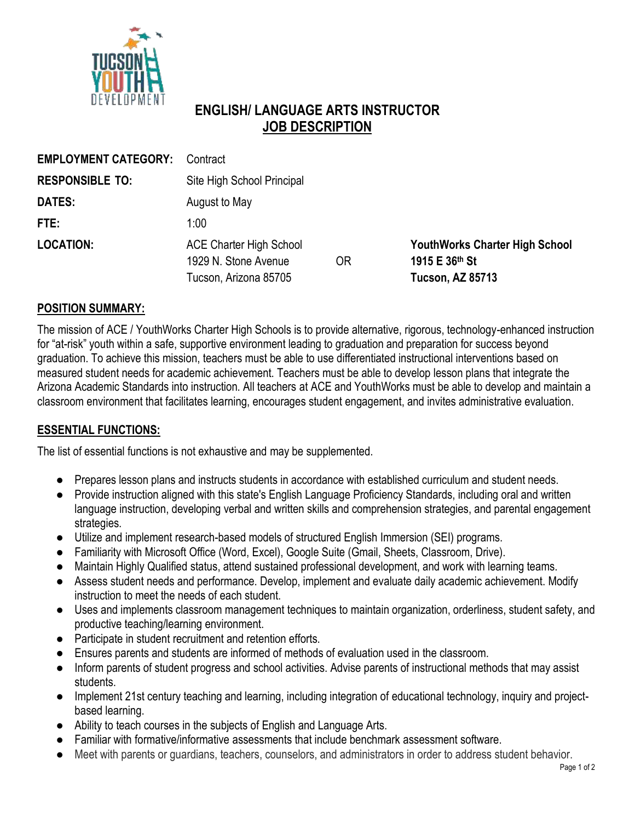

# **ENGLISH/ LANGUAGE ARTS INSTRUCTOR JOB DESCRIPTION**

| <b>EMPLOYMENT CATEGORY:</b> | Contract                                                                        |    |                                                                                    |
|-----------------------------|---------------------------------------------------------------------------------|----|------------------------------------------------------------------------------------|
| <b>RESPONSIBLE TO:</b>      | Site High School Principal                                                      |    |                                                                                    |
| DATES:                      | August to May                                                                   |    |                                                                                    |
| FTE:                        | 1:00                                                                            |    |                                                                                    |
| <b>LOCATION:</b>            | <b>ACE Charter High School</b><br>1929 N. Stone Avenue<br>Tucson, Arizona 85705 | 0R | <b>YouthWorks Charter High School</b><br>1915 E 36th St<br><b>Tucson, AZ 85713</b> |

#### **POSITION SUMMARY:**

The mission of ACE / YouthWorks Charter High Schools is to provide alternative, rigorous, technology-enhanced instruction for "at-risk" youth within a safe, supportive environment leading to graduation and preparation for success beyond graduation. To achieve this mission, teachers must be able to use differentiated instructional interventions based on measured student needs for academic achievement. Teachers must be able to develop lesson plans that integrate the Arizona Academic Standards into instruction. All teachers at ACE and YouthWorks must be able to develop and maintain a classroom environment that facilitates learning, encourages student engagement, and invites administrative evaluation.

### **ESSENTIAL FUNCTIONS:**

The list of essential functions is not exhaustive and may be supplemented.

- **●** Prepares lesson plans and instructs students in accordance with established curriculum and student needs.
- **●** Provide instruction aligned with this state's English Language Proficiency Standards, including oral and written language instruction, developing verbal and written skills and comprehension strategies, and parental engagement strategies.
- **●** Utilize and implement research-based models of structured English Immersion (SEI) programs.
- **●** Familiarity with Microsoft Office (Word, Excel), Google Suite (Gmail, Sheets, Classroom, Drive).
- **●** Maintain Highly Qualified status, attend sustained professional development, and work with learning teams.
- Assess student needs and performance. Develop, implement and evaluate daily academic achievement. Modify instruction to meet the needs of each student.
- **●** Uses and implements classroom management techniques to maintain organization, orderliness, student safety, and productive teaching/learning environment.
- **●** Participate in student recruitment and retention efforts.
- **●** Ensures parents and students are informed of methods of evaluation used in the classroom.
- **●** Inform parents of student progress and school activities. Advise parents of instructional methods that may assist students.
- **●** Implement 21st century teaching and learning, including integration of educational technology, inquiry and projectbased learning.
- **●** Ability to teach courses in the subjects of English and Language Arts.
- **●** Familiar with formative/informative assessments that include benchmark assessment software.
- Meet with parents or quardians, teachers, counselors, and administrators in order to address student behavior.